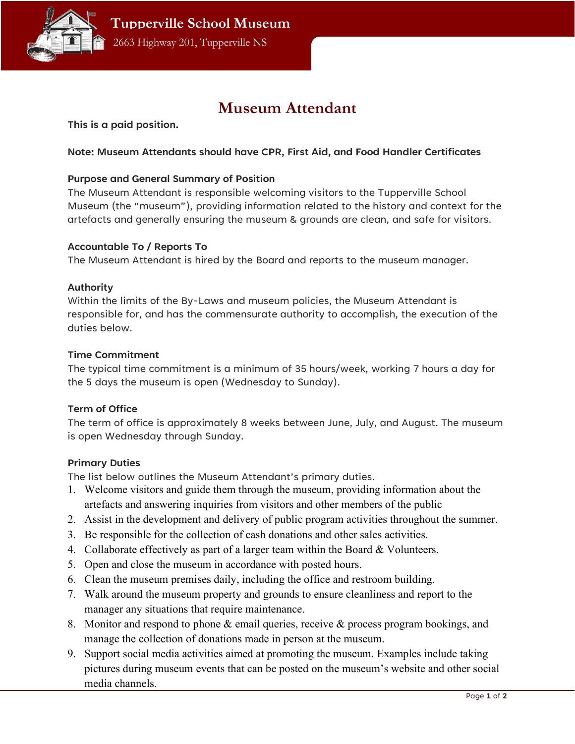

# Museum Attendant

This is a paid position.

## Note: Museum Attendants should have CPR, First Aid, and Food Handler Certificates

#### Purpose and General Summary of Position

The Museum Attendant is responsible welcoming visitors to the Tupperville School Museum (the "museum"), providing information related to the history and context for the artefacts and generally ensuring the museum & grounds are clean, and safe for visitors.

#### Accountable To / Reports To

The Museum Attendant is hired by the Board and reports to the museum manager.

#### Authority

Within the limits of the By-Laws and museum policies, the Museum Attendant is responsible for, and has the commensurate authority to accomplish, the execution of the duties below.

#### Time Commitment

The typical time commitment is a minimum of 35 hours/week, working 7 hours a day for the 5 days the museum is open (Wednesday to Sunday).

### Term of Office

The term of office is approximately 8 weeks between June, July, and August. The museum is open Wednesday through Sunday.

### Primary Duties

The list below outlines the Museum Attendant's primary duties.

- 1. Welcome visitors and guide them through the museum, providing information about the artefacts and answering inquiries from visitors and other members of the public
- 2. Assist in the development and delivery of public program activities throughout the summer.
- 3. Be responsible for the collection of cash donations and other sales activities.
- 4. Collaborate effectively as part of a larger team within the Board & Volunteers.
- 5. Open and close the museum in accordance with posted hours.
- 6. Clean the museum premises daily, including the office and restroom building.
- 7. Walk around the museum property and grounds to ensure cleanliness and report to the manager any situations that require maintenance.
- 8. Monitor and respond to phone & email queries, receive & process program bookings, and manage the collection of donations made in person at the museum.
- 9. Support social media activities aimed at promoting the museum. Examples include taking pictures during museum events that can be posted on the museum's website and other social media channels.